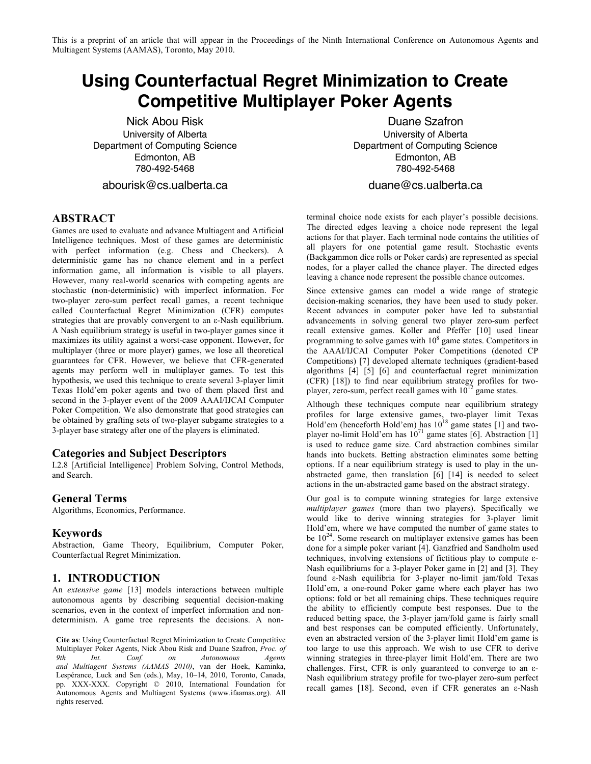This is a preprint of an article that will appear in the Proceedings of the Ninth International Conference on Autonomous Agents and Multiagent Systems (AAMAS), Toronto, May 2010.

# **Using Counterfactual Regret Minimization to Create Competitive Multiplayer Poker Agents**

Nick Abou Risk University of Alberta Department of Computing Science Edmonton, AB 780-492-5468

abourisk@cs.ualberta.ca

Duane Szafron University of Alberta Department of Computing Science Edmonton, AB 780-492-5468

duane@cs.ualberta.ca

#### **ABSTRACT**

Games are used to evaluate and advance Multiagent and Artificial Intelligence techniques. Most of these games are deterministic with perfect information (e.g. Chess and Checkers). A deterministic game has no chance element and in a perfect information game, all information is visible to all players. However, many real-world scenarios with competing agents are stochastic (non-deterministic) with imperfect information. For two-player zero-sum perfect recall games, a recent technique called Counterfactual Regret Minimization (CFR) computes strategies that are provably convergent to an ε-Nash equilibrium. A Nash equilibrium strategy is useful in two-player games since it maximizes its utility against a worst-case opponent. However, for multiplayer (three or more player) games, we lose all theoretical guarantees for CFR. However, we believe that CFR-generated agents may perform well in multiplayer games. To test this hypothesis, we used this technique to create several 3-player limit Texas Hold'em poker agents and two of them placed first and second in the 3-player event of the 2009 AAAI/IJCAI Computer Poker Competition. We also demonstrate that good strategies can be obtained by grafting sets of two-player subgame strategies to a 3-player base strategy after one of the players is eliminated.

## **Categories and Subject Descriptors**

I.2.8 [Artificial Intelligence] Problem Solving, Control Methods, and Search.

### **General Terms**

Algorithms, Economics, Performance.

#### **Keywords**

Abstraction, Game Theory, Equilibrium, Computer Poker, Counterfactual Regret Minimization.

#### **1. INTRODUCTION**

An *extensive game* [13] models interactions between multiple autonomous agents by describing sequential decision-making scenarios, even in the context of imperfect information and nondeterminism. A game tree represents the decisions. A non-

**Cite as**: Using Counterfactual Regret Minimization to Create Competitive Multiplayer Poker Agents, Nick Abou Risk and Duane Szafron, *Proc. of 9th Int. Conf. on Autonomous Agents and Multiagent Systems (AAMAS 2010)*, van der Hoek, Kaminka, Lespérance, Luck and Sen (eds.), May, 10–14, 2010, Toronto, Canada, pp. XXX-XXX. Copyright © 2010, International Foundation for Autonomous Agents and Multiagent Systems (www.ifaamas.org). All rights reserved.

terminal choice node exists for each player's possible decisions. The directed edges leaving a choice node represent the legal actions for that player. Each terminal node contains the utilities of all players for one potential game result. Stochastic events (Backgammon dice rolls or Poker cards) are represented as special nodes, for a player called the chance player. The directed edges leaving a chance node represent the possible chance outcomes.

Since extensive games can model a wide range of strategic decision-making scenarios, they have been used to study poker. Recent advances in computer poker have led to substantial advancements in solving general two player zero-sum perfect recall extensive games. Koller and Pfeffer [10] used linear programming to solve games with  $10^8$  game states. Competitors in the AAAI/IJCAI Computer Poker Competitions (denoted CP Competitions) [7] developed alternate techniques (gradient-based algorithms [4] [5] [6] and counterfactual regret minimization (CFR) [18]) to find near equilibrium strategy profiles for twoplayer, zero-sum, perfect recall games with  $10^{12}$  game states.

Although these techniques compute near equilibrium strategy profiles for large extensive games, two-player limit Texas Hold'em (henceforth Hold'em) has  $10^{18}$  game states [1] and twoplayer no-limit Hold'em has  $10^{71}$  game states [6]. Abstraction [1] is used to reduce game size. Card abstraction combines similar hands into buckets. Betting abstraction eliminates some betting options. If a near equilibrium strategy is used to play in the unabstracted game, then translation [6] [14] is needed to select actions in the un-abstracted game based on the abstract strategy.

Our goal is to compute winning strategies for large extensive *multiplayer games* (more than two players). Specifically we would like to derive winning strategies for 3-player limit Hold'em, where we have computed the number of game states to be  $10^{24}$ . Some research on multiplayer extensive games has been done for a simple poker variant [4]. Ganzfried and Sandholm used techniques, involving extensions of fictitious play to compute ε-Nash equilibriums for a 3-player Poker game in [2] and [3]. They found ε-Nash equilibria for 3-player no-limit jam/fold Texas Hold'em, a one-round Poker game where each player has two options: fold or bet all remaining chips. These techniques require the ability to efficiently compute best responses. Due to the reduced betting space, the 3-player jam/fold game is fairly small and best responses can be computed efficiently. Unfortunately, even an abstracted version of the 3-player limit Hold'em game is too large to use this approach. We wish to use CFR to derive winning strategies in three-player limit Hold'em. There are two challenges. First, CFR is only guaranteed to converge to an ε-Nash equilibrium strategy profile for two-player zero-sum perfect recall games [18]. Second, even if CFR generates an ε-Nash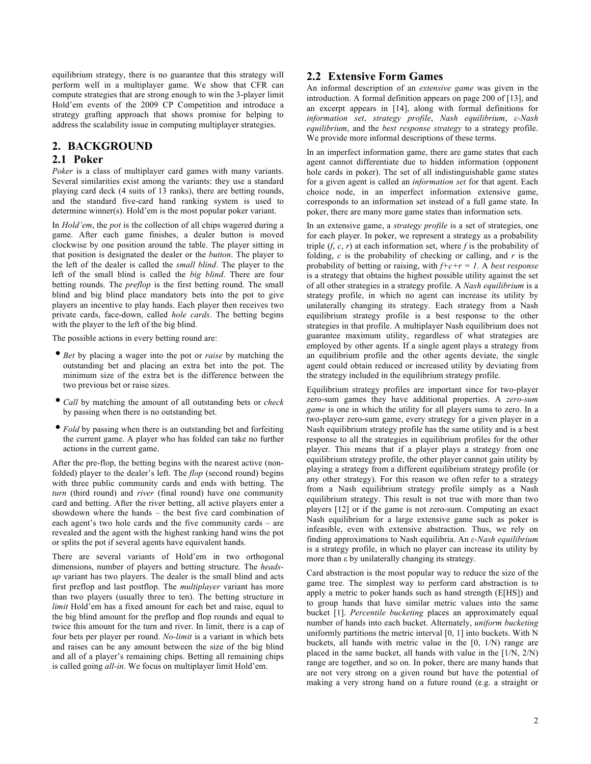equilibrium strategy, there is no guarantee that this strategy will perform well in a multiplayer game. We show that CFR can compute strategies that are strong enough to win the 3-player limit Hold'em events of the 2009 CP Competition and introduce a strategy grafting approach that shows promise for helping to address the scalability issue in computing multiplayer strategies.

## **2. BACKGROUND**

#### **2.1 Poker**

*Poker* is a class of multiplayer card games with many variants. Several similarities exist among the variants: they use a standard playing card deck (4 suits of 13 ranks), there are betting rounds, and the standard five-card hand ranking system is used to determine winner(s). Hold'em is the most popular poker variant.

In *Hold'em*, the *pot* is the collection of all chips wagered during a game. After each game finishes, a dealer button is moved clockwise by one position around the table. The player sitting in that position is designated the dealer or the *button*. The player to the left of the dealer is called the *small blind*. The player to the left of the small blind is called the *big blind*. There are four betting rounds. The *preflop* is the first betting round. The small blind and big blind place mandatory bets into the pot to give players an incentive to play hands. Each player then receives two private cards, face-down, called *hole cards*. The betting begins with the player to the left of the big blind.

The possible actions in every betting round are:

- *Bet* by placing a wager into the pot or *raise* by matching the outstanding bet and placing an extra bet into the pot. The minimum size of the extra bet is the difference between the two previous bet or raise sizes.
- *Call* by matching the amount of all outstanding bets or *check* by passing when there is no outstanding bet.
- *Fold* by passing when there is an outstanding bet and forfeiting the current game. A player who has folded can take no further actions in the current game.

After the pre-flop, the betting begins with the nearest active (nonfolded) player to the dealer's left. The *flop* (second round) begins with three public community cards and ends with betting. The *turn* (third round) and *river* (final round) have one community card and betting. After the river betting, all active players enter a showdown where the hands – the best five card combination of each agent's two hole cards and the five community cards – are revealed and the agent with the highest ranking hand wins the pot or splits the pot if several agents have equivalent hands.

There are several variants of Hold'em in two orthogonal dimensions, number of players and betting structure. The *headsup* variant has two players. The dealer is the small blind and acts first preflop and last postflop. The *multiplayer* variant has more than two players (usually three to ten). The betting structure in *limit* Hold'em has a fixed amount for each bet and raise, equal to the big blind amount for the preflop and flop rounds and equal to twice this amount for the turn and river. In limit, there is a cap of four bets per player per round. *No-limit* is a variant in which bets and raises can be any amount between the size of the big blind and all of a player's remaining chips. Betting all remaining chips is called going *all-in*. We focus on multiplayer limit Hold'em.

## **2.2 Extensive Form Games**

An informal description of an *extensive game* was given in the introduction. A formal definition appears on page 200 of [13], and an excerpt appears in [14], along with formal definitions for *information set*, *strategy profile*, *Nash equilibrium*, *ε-Nash equilibrium*, and the *best response strategy* to a strategy profile. We provide more informal descriptions of these terms.

In an imperfect information game, there are game states that each agent cannot differentiate due to hidden information (opponent hole cards in poker). The set of all indistinguishable game states for a given agent is called an *information set* for that agent. Each choice node, in an imperfect information extensive game, corresponds to an information set instead of a full game state. In poker, there are many more game states than information sets.

In an extensive game, a *strategy profile* is a set of strategies, one for each player. In poker, we represent a strategy as a probability triple  $(f, c, r)$  at each information set, where  $f$  is the probability of folding, *c* is the probability of checking or calling, and *r* is the probability of betting or raising, with *f+c+r = 1*. A *best response* is a strategy that obtains the highest possible utility against the set of all other strategies in a strategy profile. A *Nash equilibrium* is a strategy profile, in which no agent can increase its utility by unilaterally changing its strategy. Each strategy from a Nash equilibrium strategy profile is a best response to the other strategies in that profile. A multiplayer Nash equilibrium does not guarantee maximum utility, regardless of what strategies are employed by other agents. If a single agent plays a strategy from an equilibrium profile and the other agents deviate, the single agent could obtain reduced or increased utility by deviating from the strategy included in the equilibrium strategy profile.

Equilibrium strategy profiles are important since for two-player zero-sum games they have additional properties. A *zero-sum game* is one in which the utility for all players sums to zero. In a two-player zero-sum game, every strategy for a given player in a Nash equilibrium strategy profile has the same utility and is a best response to all the strategies in equilibrium profiles for the other player. This means that if a player plays a strategy from one equilibrium strategy profile, the other player cannot gain utility by playing a strategy from a different equilibrium strategy profile (or any other strategy). For this reason we often refer to a strategy from a Nash equilibrium strategy profile simply as a Nash equilibrium strategy. This result is not true with more than two players [12] or if the game is not zero-sum. Computing an exact Nash equilibrium for a large extensive game such as poker is infeasible, even with extensive abstraction. Thus, we rely on finding approximations to Nash equilibria. An *ε-Nash equilibrium* is a strategy profile, in which no player can increase its utility by more than ε by unilaterally changing its strategy.

Card abstraction is the most popular way to reduce the size of the game tree. The simplest way to perform card abstraction is to apply a metric to poker hands such as hand strength (E[HS]) and to group hands that have similar metric values into the same bucket [1]. *Percentile bucketing* places an approximately equal number of hands into each bucket. Alternately, *uniform bucketing* uniformly partitions the metric interval [0, 1] into buckets. With N buckets, all hands with metric value in the [0, 1/N) range are placed in the same bucket, all hands with value in the [1/N, 2/N) range are together, and so on. In poker, there are many hands that are not very strong on a given round but have the potential of making a very strong hand on a future round (e.g. a straight or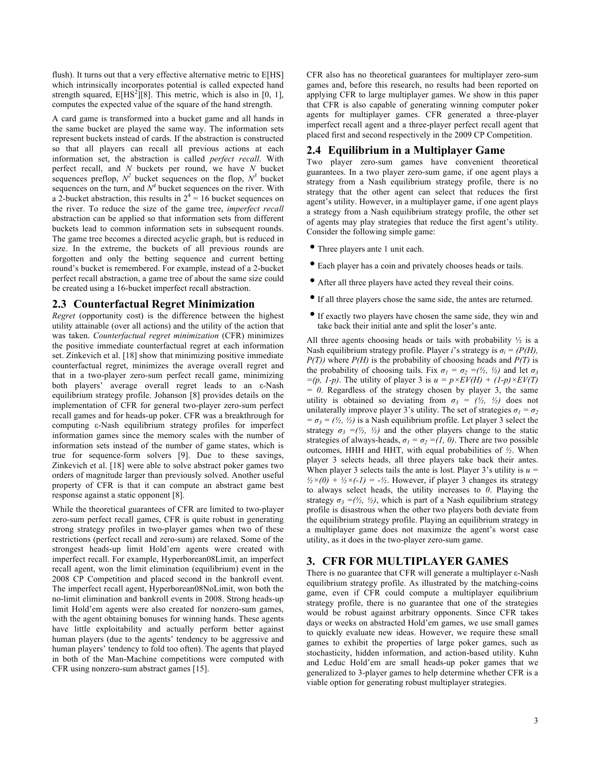flush). It turns out that a very effective alternative metric to E[HS] which intrinsically incorporates potential is called expected hand strength squared,  $E[HS^2][8]$ . This metric, which is also in [0, 1], computes the expected value of the square of the hand strength.

A card game is transformed into a bucket game and all hands in the same bucket are played the same way. The information sets represent buckets instead of cards. If the abstraction is constructed so that all players can recall all previous actions at each information set, the abstraction is called *perfect recall*. With perfect recall, and *N* buckets per round, we have *N* bucket sequences preflop,  $N^2$  bucket sequences on the flop,  $N^3$  bucket sequences on the turn, and  $N^4$  bucket sequences on the river. With a 2-bucket abstraction, this results in  $2^4 = 16$  bucket sequences on the river. To reduce the size of the game tree, *imperfect recall* abstraction can be applied so that information sets from different buckets lead to common information sets in subsequent rounds. The game tree becomes a directed acyclic graph, but is reduced in size. In the extreme, the buckets of all previous rounds are forgotten and only the betting sequence and current betting round's bucket is remembered. For example, instead of a 2-bucket perfect recall abstraction, a game tree of about the same size could be created using a 16-bucket imperfect recall abstraction.

## **2.3 Counterfactual Regret Minimization**

*Regret* (opportunity cost) is the difference between the highest utility attainable (over all actions) and the utility of the action that was taken. *Counterfactual regret minimization* (CFR) minimizes the positive immediate counterfactual regret at each information set. Zinkevich et al. [18] show that minimizing positive immediate counterfactual regret, minimizes the average overall regret and that in a two-player zero-sum perfect recall game, minimizing both players' average overall regret leads to an ε-Nash equilibrium strategy profile. Johanson [8] provides details on the implementation of CFR for general two-player zero-sum perfect recall games and for heads-up poker. CFR was a breakthrough for computing ε-Nash equilibrium strategy profiles for imperfect information games since the memory scales with the number of information sets instead of the number of game states, which is true for sequence-form solvers [9]. Due to these savings, Zinkevich et al. [18] were able to solve abstract poker games two orders of magnitude larger than previously solved. Another useful property of CFR is that it can compute an abstract game best response against a static opponent [8].

While the theoretical guarantees of CFR are limited to two-player zero-sum perfect recall games, CFR is quite robust in generating strong strategy profiles in two-player games when two of these restrictions (perfect recall and zero-sum) are relaxed. Some of the strongest heads-up limit Hold'em agents were created with imperfect recall. For example, Hyperborean08Limit, an imperfect recall agent, won the limit elimination (equilibrium) event in the 2008 CP Competition and placed second in the bankroll event. The imperfect recall agent, Hyperborean08NoLimit, won both the no-limit elimination and bankroll events in 2008. Strong heads-up limit Hold'em agents were also created for nonzero-sum games, with the agent obtaining bonuses for winning hands. These agents have little exploitability and actually perform better against human players (due to the agents' tendency to be aggressive and human players' tendency to fold too often). The agents that played in both of the Man-Machine competitions were computed with CFR using nonzero-sum abstract games [15].

CFR also has no theoretical guarantees for multiplayer zero-sum games and, before this research, no results had been reported on applying CFR to large multiplayer games. We show in this paper that CFR is also capable of generating winning computer poker agents for multiplayer games. CFR generated a three-player imperfect recall agent and a three-player perfect recall agent that placed first and second respectively in the 2009 CP Competition.

# **2.4 Equilibrium in a Multiplayer Game**

Two player zero-sum games have convenient theoretical guarantees. In a two player zero-sum game, if one agent plays a strategy from a Nash equilibrium strategy profile, there is no strategy that the other agent can select that reduces the first agent's utility. However, in a multiplayer game, if one agent plays a strategy from a Nash equilibrium strategy profile, the other set of agents may play strategies that reduce the first agent's utility. Consider the following simple game:

- Three players ante 1 unit each.
- Each player has a coin and privately chooses heads or tails.
- After all three players have acted they reveal their coins.
- If all three players chose the same side, the antes are returned.
- If exactly two players have chosen the same side, they win and take back their initial ante and split the loser's ante.

All three agents choosing heads or tails with probability  $\frac{1}{2}$  is a Nash equilibrium strategy profile. Player *i*'s strategy is  $\sigma_i = (P(H))$ , *P(T))* where *P(H)* is the probability of choosing heads and *P(T)* is the probability of choosing tails. Fix  $\sigma_1 = \sigma_2 = (1/2, 1/2)$  and let  $\sigma_3$  $=(p, 1-p)$ . The utility of player 3 is  $u = p \times EV(H) + (1-p) \times EV(T)$  $= 0$ . Regardless of the strategy chosen by player 3, the same utility is obtained so deviating from  $\sigma_3 = (\frac{1}{2}, \frac{1}{2})$  does not unilaterally improve player 3's utility. The set of strategies  $\sigma_1 = \sigma_2$  $= \sigma_3 = (\frac{1}{2}, \frac{1}{2})$  is a Nash equilibrium profile. Let player 3 select the strategy  $\sigma_3 = (\frac{1}{2}, \frac{1}{2})$  and the other players change to the static strategies of always-heads,  $\sigma_1 = \sigma_2 = (1, 0)$ . There are two possible outcomes, HHH and HHT, with equal probabilities of *½*. When player 3 selects heads, all three players take back their antes. When player 3 selects tails the ante is lost. Player 3's utility is  $u =$  $\frac{1}{2} \times (0) + \frac{1}{2} \times (-1) = -\frac{1}{2}$ . However, if player 3 changes its strategy to always select heads, the utility increases to *0*. Playing the strategy  $\sigma_3 = (\frac{1}{2}, \frac{1}{2})$ , which is part of a Nash equilibrium strategy profile is disastrous when the other two players both deviate from the equilibrium strategy profile. Playing an equilibrium strategy in a multiplayer game does not maximize the agent's worst case utility, as it does in the two-player zero-sum game.

## **3. CFR FOR MULTIPLAYER GAMES**

There is no guarantee that CFR will generate a multiplayer ε-Nash equilibrium strategy profile. As illustrated by the matching-coins game, even if CFR could compute a multiplayer equilibrium strategy profile, there is no guarantee that one of the strategies would be robust against arbitrary opponents. Since CFR takes days or weeks on abstracted Hold'em games, we use small games to quickly evaluate new ideas. However, we require these small games to exhibit the properties of large poker games, such as stochasticity, hidden information, and action-based utility. Kuhn and Leduc Hold'em are small heads-up poker games that we generalized to 3-player games to help determine whether CFR is a viable option for generating robust multiplayer strategies.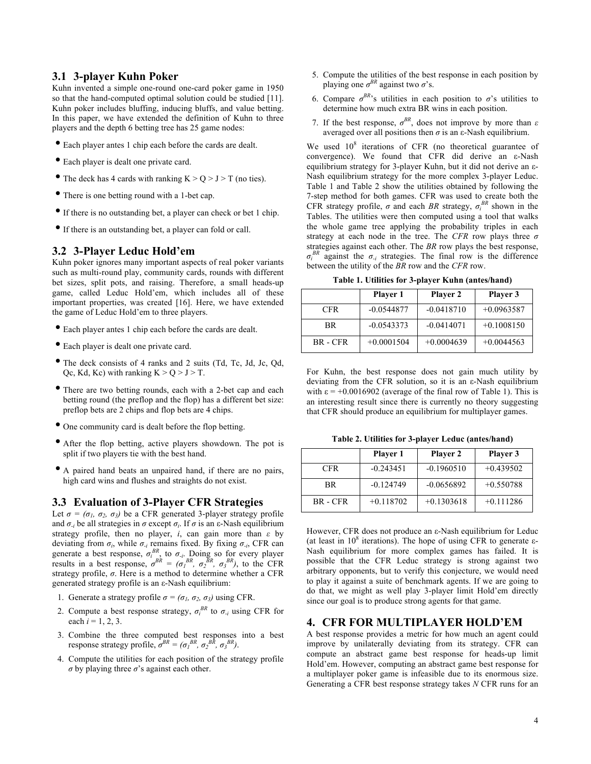# **3.1 3-player Kuhn Poker**

Kuhn invented a simple one-round one-card poker game in 1950 so that the hand-computed optimal solution could be studied [11]. Kuhn poker includes bluffing, inducing bluffs, and value betting. In this paper, we have extended the definition of Kuhn to three players and the depth 6 betting tree has 25 game nodes:

- Each player antes 1 chip each before the cards are dealt.
- Each player is dealt one private card.
- The deck has 4 cards with ranking  $K > Q > J > T$  (no ties).
- There is one betting round with a 1-bet cap.
- If there is no outstanding bet, a player can check or bet 1 chip.
- If there is an outstanding bet, a player can fold or call.

## **3.2 3-Player Leduc Hold'em**

Kuhn poker ignores many important aspects of real poker variants such as multi-round play, community cards, rounds with different bet sizes, split pots, and raising. Therefore, a small heads-up game, called Leduc Hold'em, which includes all of these important properties, was created [16]. Here, we have extended the game of Leduc Hold'em to three players.

- Each player antes 1 chip each before the cards are dealt.
- Each player is dealt one private card.
- The deck consists of 4 ranks and 2 suits (Td, Tc, Jd, Jc, Qd, Oc, Kd, Kc) with ranking  $K > 0 > J > T$ .
- There are two betting rounds, each with a 2-bet cap and each betting round (the preflop and the flop) has a different bet size: preflop bets are 2 chips and flop bets are 4 chips.
- One community card is dealt before the flop betting.
- After the flop betting, active players showdown. The pot is split if two players tie with the best hand.
- A paired hand beats an unpaired hand, if there are no pairs, high card wins and flushes and straights do not exist.

## **3.3 Evaluation of 3-Player CFR Strategies**

Let  $\sigma = (\sigma_1, \sigma_2, \sigma_3)$  be a CFR generated 3-player strategy profile and  $σ<sub>i</sub>$  be all strategies in  $σ$  except  $σ<sub>i</sub>$ . If  $σ$  is an ε-Nash equilibrium strategy profile, then no player, *i*, can gain more than *ε* by deviating from  $\sigma_i$ , while  $\sigma_i$  remains fixed. By fixing  $\sigma_i$ , CFR can generate a best response,  $\sigma_i^{BR}$ , to  $\sigma_i$ . Doing so for every player results in a best response,  $\sigma^{BR} = (\sigma_I^{BR}, \sigma_I^{BR}, \sigma_J^{BR})$ , to the CFR strategy profile, *σ*. Here is a method to determine whether a CFR generated strategy profile is an ε-Nash equilibrium:

- 1. Generate a strategy profile  $\sigma = (\sigma_1, \sigma_2, \sigma_3)$  using CFR.
- 2. Compute a best response strategy,  $\sigma_i^{BR}$  to  $\sigma_i$  using CFR for each  $i = 1, 2, 3$ .
- 3. Combine the three computed best responses into a best response strategy profile,  $\sigma^{BR} = (\sigma_I^{BR}, \sigma_2^{BR}, \sigma_3^{BR})$ .
- 4. Compute the utilities for each position of the strategy profile  $\sigma$  by playing three  $\sigma$ 's against each other.
- 5. Compute the utilities of the best response in each position by playing one  $\sigma^{BR}$  against two  $\sigma$ 's.
- 6. Compare  $\sigma^{BR}$ 's utilities in each position to  $\sigma$ 's utilities to determine how much extra BR wins in each position.
- 7. If the best response,  $\sigma^{BR}$ , does not improve by more than  $\varepsilon$ averaged over all positions then *σ* is an ε-Nash equilibrium.

We used  $10^8$  iterations of CFR (no theoretical guarantee of convergence). We found that CFR did derive an ε-Nash equilibrium strategy for 3-player Kuhn, but it did not derive an ε-Nash equilibrium strategy for the more complex 3-player Leduc. Table 1 and Table 2 show the utilities obtained by following the 7-step method for both games. CFR was used to create both the CFR strategy profile,  $\sigma$  and each *BR* strategy,  $\sigma_i^{BR}$  shown in the Tables. The utilities were then computed using a tool that walks the whole game tree applying the probability triples in each strategy at each node in the tree. The *CFR* row plays three *σ* strategies against each other. The *BR* row plays the best response,  $\sigma_i^{BR}$  against the  $\sigma_i$  strategies. The final row is the difference between the utility of the *BR* row and the *CFR* row.

**Table 1. Utilities for 3-player Kuhn (antes/hand)**

|            | Player 1     | <b>Player 2</b> | Player 3     |
|------------|--------------|-----------------|--------------|
| <b>CFR</b> | $-0.0544877$ | $-0.0418710$    | $+0.0963587$ |
| <b>BR</b>  | $-0.0543373$ | $-0.0414071$    | $+0.1008150$ |
| BR - CFR   | $+0.0001504$ | $+0.0004639$    | $+0.0044563$ |

For Kuhn, the best response does not gain much utility by deviating from the CFR solution, so it is an ε-Nash equilibrium with  $\varepsilon = +0.0016902$  (average of the final row of Table 1). This is an interesting result since there is currently no theory suggesting that CFR should produce an equilibrium for multiplayer games.

**Table 2. Utilities for 3-player Leduc (antes/hand)**

|            | <b>Player 1</b> | <b>Player 2</b> | Player 3    |
|------------|-----------------|-----------------|-------------|
| <b>CFR</b> | $-0.243451$     | $-0.1960510$    | $+0.439502$ |
| BR.        | $-0.124749$     | $-0.0656892$    | $+0.550788$ |
| BR - CFR   | $+0.118702$     | $+0.1303618$    | $+0.111286$ |

However, CFR does not produce an ε-Nash equilibrium for Leduc (at least in  $10^8$  iterations). The hope of using CFR to generate  $\varepsilon$ -Nash equilibrium for more complex games has failed. It is possible that the CFR Leduc strategy is strong against two arbitrary opponents, but to verify this conjecture, we would need to play it against a suite of benchmark agents. If we are going to do that, we might as well play 3-player limit Hold'em directly since our goal is to produce strong agents for that game.

# **4. CFR FOR MULTIPLAYER HOLD'EM**

A best response provides a metric for how much an agent could improve by unilaterally deviating from its strategy. CFR can compute an abstract game best response for heads-up limit Hold'em. However, computing an abstract game best response for a multiplayer poker game is infeasible due to its enormous size. Generating a CFR best response strategy takes *N* CFR runs for an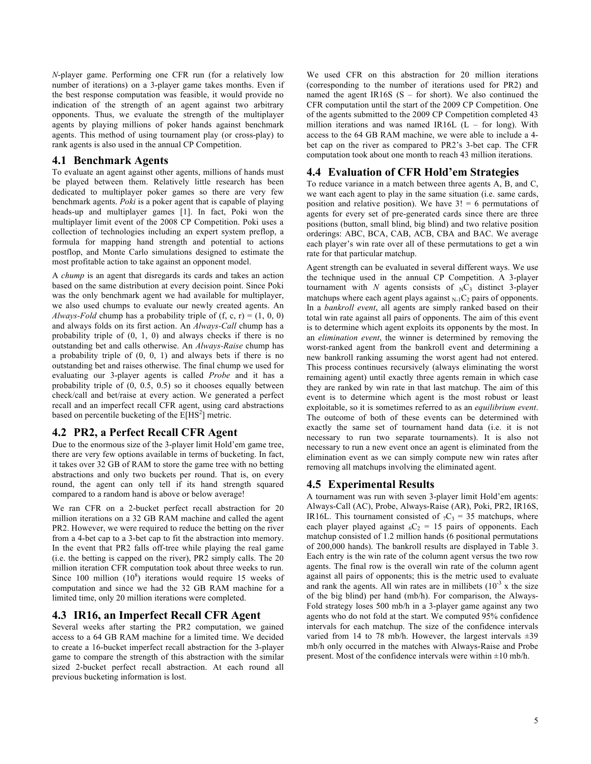*N*-player game. Performing one CFR run (for a relatively low number of iterations) on a 3-player game takes months. Even if the best response computation was feasible, it would provide no indication of the strength of an agent against two arbitrary opponents. Thus, we evaluate the strength of the multiplayer agents by playing millions of poker hands against benchmark agents. This method of using tournament play (or cross-play) to rank agents is also used in the annual CP Competition.

## **4.1 Benchmark Agents**

To evaluate an agent against other agents, millions of hands must be played between them. Relatively little research has been dedicated to multiplayer poker games so there are very few benchmark agents. *Poki* is a poker agent that is capable of playing heads-up and multiplayer games [1]. In fact, Poki won the multiplayer limit event of the 2008 CP Competition. Poki uses a collection of technologies including an expert system preflop, a formula for mapping hand strength and potential to actions postflop, and Monte Carlo simulations designed to estimate the most profitable action to take against an opponent model.

A *chump* is an agent that disregards its cards and takes an action based on the same distribution at every decision point. Since Poki was the only benchmark agent we had available for multiplayer, we also used chumps to evaluate our newly created agents. An *Always-Fold* chump has a probability triple of  $(f, c, r) = (1, 0, 0)$ and always folds on its first action. An *Always-Call* chump has a probability triple of (0, 1, 0) and always checks if there is no outstanding bet and calls otherwise. An *Always-Raise* chump has a probability triple of (0, 0, 1) and always bets if there is no outstanding bet and raises otherwise. The final chump we used for evaluating our 3-player agents is called *Probe* and it has a probability triple of (0, 0.5, 0.5) so it chooses equally between check/call and bet/raise at every action. We generated a perfect recall and an imperfect recall CFR agent, using card abstractions based on percentile bucketing of the  $E[HS^2]$  metric.

## **4.2 PR2, a Perfect Recall CFR Agent**

Due to the enormous size of the 3-player limit Hold'em game tree, there are very few options available in terms of bucketing. In fact, it takes over 32 GB of RAM to store the game tree with no betting abstractions and only two buckets per round. That is, on every round, the agent can only tell if its hand strength squared compared to a random hand is above or below average!

We ran CFR on a 2-bucket perfect recall abstraction for 20 million iterations on a 32 GB RAM machine and called the agent PR2. However, we were required to reduce the betting on the river from a 4-bet cap to a 3-bet cap to fit the abstraction into memory. In the event that PR2 falls off-tree while playing the real game (i.e. the betting is capped on the river), PR2 simply calls. The 20 million iteration CFR computation took about three weeks to run. Since 100 million  $(10^8)$  iterations would require 15 weeks of computation and since we had the 32 GB RAM machine for a limited time, only 20 million iterations were completed.

# **4.3 IR16, an Imperfect Recall CFR Agent**

Several weeks after starting the PR2 computation, we gained access to a 64 GB RAM machine for a limited time. We decided to create a 16-bucket imperfect recall abstraction for the 3-player game to compare the strength of this abstraction with the similar sized 2-bucket perfect recall abstraction. At each round all previous bucketing information is lost.

We used CFR on this abstraction for 20 million iterations (corresponding to the number of iterations used for PR2) and named the agent IR16S ( $S$  – for short). We also continued the CFR computation until the start of the 2009 CP Competition. One of the agents submitted to the 2009 CP Competition completed 43 million iterations and was named IR16L (L – for long). With access to the 64 GB RAM machine, we were able to include a 4 bet cap on the river as compared to PR2's 3-bet cap. The CFR computation took about one month to reach 43 million iterations.

## **4.4 Evaluation of CFR Hold'em Strategies**

To reduce variance in a match between three agents A, B, and C, we want each agent to play in the same situation (i.e. same cards, position and relative position). We have  $3! = 6$  permutations of agents for every set of pre-generated cards since there are three positions (button, small blind, big blind) and two relative position orderings: ABC, BCA, CAB, ACB, CBA and BAC. We average each player's win rate over all of these permutations to get a win rate for that particular matchup.

Agent strength can be evaluated in several different ways. We use the technique used in the annual CP Competition. A 3-player tournament with *N* agents consists of  $_{N}C_{3}$  distinct 3-player matchups where each agent plays against  $_{N-1}C_2$  pairs of opponents. In a *bankroll event*, all agents are simply ranked based on their total win rate against all pairs of opponents. The aim of this event is to determine which agent exploits its opponents by the most. In an *elimination event*, the winner is determined by removing the worst-ranked agent from the bankroll event and determining a new bankroll ranking assuming the worst agent had not entered. This process continues recursively (always eliminating the worst remaining agent) until exactly three agents remain in which case they are ranked by win rate in that last matchup. The aim of this event is to determine which agent is the most robust or least exploitable, so it is sometimes referred to as an *equilibrium event*. The outcome of both of these events can be determined with exactly the same set of tournament hand data (i.e. it is not necessary to run two separate tournaments). It is also not necessary to run a new event once an agent is eliminated from the elimination event as we can simply compute new win rates after removing all matchups involving the eliminated agent.

## **4.5 Experimental Results**

A tournament was run with seven 3-player limit Hold'em agents: Always-Call (AC), Probe, Always-Raise (AR), Poki, PR2, IR16S, IR16L. This tournament consisted of  ${}_{7}C_{3} = 35$  matchups, where each player played against  ${}_{6}C_{2}$  = 15 pairs of opponents. Each matchup consisted of 1.2 million hands (6 positional permutations of 200,000 hands). The bankroll results are displayed in Table 3. Each entry is the win rate of the column agent versus the two row agents. The final row is the overall win rate of the column agent against all pairs of opponents; this is the metric used to evaluate and rank the agents. All win rates are in millibets  $(10^{-3} \times 10^{-3})$ of the big blind) per hand (mb/h). For comparison, the Always-Fold strategy loses 500 mb/h in a 3-player game against any two agents who do not fold at the start. We computed 95% confidence intervals for each matchup. The size of the confidence intervals varied from 14 to 78 mb/h. However, the largest intervals ±39 mb/h only occurred in the matches with Always-Raise and Probe present. Most of the confidence intervals were within  $\pm 10$  mb/h.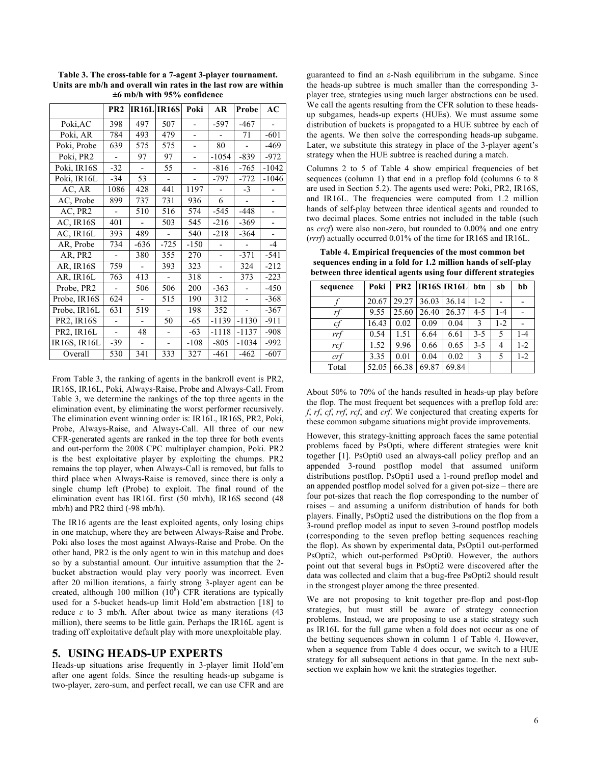|                     | PR <sub>2</sub>          |        | <b>IR16L IR16S</b>       | Poki                     | AR                       | Probe   | AC      |
|---------------------|--------------------------|--------|--------------------------|--------------------------|--------------------------|---------|---------|
| Poki, AC            | 398                      | 497    | 507                      |                          | -597                     | -467    |         |
| Poki, AR            | 784                      | 493    | 479                      |                          |                          | 71      | $-601$  |
| Poki, Probe         | 639                      | 575    | 575                      | $\overline{\phantom{0}}$ | 80                       |         | $-469$  |
| Poki, PR2           | $\overline{a}$           | 97     | 97                       | $\overline{\phantom{0}}$ | $-1054$                  | $-839$  | $-972$  |
| Poki, IR16S         | $-32$                    |        | 55                       | $\overline{\phantom{0}}$ | -816                     | $-765$  | $-1042$ |
| Poki, IR16L         | $-34$                    | 53     | $\overline{\phantom{0}}$ | $\overline{a}$           | -797                     | -772    | $-1046$ |
| AC, AR              | 1086                     | 428    | 441                      | 1197                     |                          | $-3$    |         |
| AC, Probe           | 899                      | 737    | 731                      | 936                      | 6                        |         |         |
| AC, PR2             |                          | 510    | 516                      | 574                      | $-545$                   | $-448$  |         |
| AC, IR16S           | 401                      |        | 503                      | 545                      | $-216$                   | -369    |         |
| AC, IR16L           | 393                      | 489    |                          | 540                      | $-218$                   | $-364$  |         |
| AR, Probe           | 734                      | $-636$ | $-725$                   | $-150$                   |                          |         | $-4$    |
| AR, PR2             | $\overline{a}$           | 380    | 355                      | 270                      | -                        | $-371$  | $-541$  |
| AR, IR16S           | 759                      |        | 393                      | 323                      |                          | 324     | $-212$  |
| AR, IR16L           | 763                      | 413    |                          | 318                      | $\overline{\phantom{0}}$ | 373     | $-223$  |
| Probe, PR2          | $\overline{a}$           | 506    | 506                      | 200                      | $-363$                   |         | $-450$  |
| Probe, IR16S        | 624                      |        | 515                      | 190                      | 312                      |         | $-368$  |
| Probe, IR16L        | 631                      | 519    |                          | 198                      | 352                      |         | $-367$  |
| <b>PR2, IR16S</b>   |                          |        | 50                       | -65                      | $-1139$                  | $-1130$ | -911    |
| PR2, IR16L          | $\overline{\phantom{0}}$ | 48     |                          | -63                      | $-1118$                  | $-1137$ | $-908$  |
| <b>IR16S, IR16L</b> | -39                      |        |                          | $-108$                   | $-805$                   | $-1034$ | $-992$  |
| Overall             | 530                      | 341    | 333                      | 327                      | $-461$                   | $-462$  | $-607$  |

**Table 3. The cross-table for a 7-agent 3-player tournament. Units are mb/h and overall win rates in the last row are within ±6 mb/h with 95% confidence**

From Table 3, the ranking of agents in the bankroll event is PR2, IR16S, IR16L, Poki, Always-Raise, Probe and Always-Call. From Table 3, we determine the rankings of the top three agents in the elimination event, by eliminating the worst performer recursively. The elimination event winning order is: IR16L, IR16S, PR2, Poki, Probe, Always-Raise, and Always-Call. All three of our new CFR-generated agents are ranked in the top three for both events and out-perform the 2008 CPC multiplayer champion, Poki. PR2 is the best exploitative player by exploiting the chumps. PR2 remains the top player, when Always-Call is removed, but falls to third place when Always-Raise is removed, since there is only a single chump left (Probe) to exploit. The final round of the elimination event has IR16L first (50 mb/h), IR16S second (48 mb/h) and PR2 third (-98 mb/h).

The IR16 agents are the least exploited agents, only losing chips in one matchup, where they are between Always-Raise and Probe. Poki also loses the most against Always-Raise and Probe. On the other hand, PR2 is the only agent to win in this matchup and does so by a substantial amount. Our intuitive assumption that the 2 bucket abstraction would play very poorly was incorrect. Even after 20 million iterations, a fairly strong 3-player agent can be created, although 100 million  $(10^8)$  CFR iterations are typically used for a 5-bucket heads-up limit Hold'em abstraction [18] to reduce  $ε$  to 3 mb/h. After about twice as many iterations (43) million), there seems to be little gain. Perhaps the IR16L agent is trading off exploitative default play with more unexploitable play.

#### **5. USING HEADS-UP EXPERTS**

Heads-up situations arise frequently in 3-player limit Hold'em after one agent folds. Since the resulting heads-up subgame is two-player, zero-sum, and perfect recall, we can use CFR and are

guaranteed to find an ε-Nash equilibrium in the subgame. Since the heads-up subtree is much smaller than the corresponding 3 player tree, strategies using much larger abstractions can be used. We call the agents resulting from the CFR solution to these headsup subgames, heads-up experts (HUEs). We must assume some distribution of buckets is propagated to a HUE subtree by each of the agents. We then solve the corresponding heads-up subgame. Later, we substitute this strategy in place of the 3-player agent's strategy when the HUE subtree is reached during a match.

Columns 2 to 5 of Table 4 show empirical frequencies of bet sequences (column 1) that end in a preflop fold (columns 6 to 8 are used in Section 5.2). The agents used were: Poki, PR2, IR16S, and IR16L. The frequencies were computed from 1.2 million hands of self-play between three identical agents and rounded to two decimal places. Some entries not included in the table (such as *crcf*) were also non-zero, but rounded to 0.00% and one entry (*rrrf*) actually occurred 0.01% of the time for IR16S and IR16L.

**Table 4. Empirical frequencies of the most common bet sequences ending in a fold for 1.2 million hands of self-play between three identical agents using four different strategies**

| sequence | Poki  |       |       | PR2  IR16S  IR16L   btn |         | sb      | bb      |
|----------|-------|-------|-------|-------------------------|---------|---------|---------|
|          | 20.67 | 29.27 | 36.03 | 36.14                   | $1-2$   |         |         |
| rţ       | 9.55  | 25.60 | 26.40 | 26.37                   | $4 - 5$ | $1 - 4$ |         |
| cf       | 16.43 | 0.02  | 0.09  | 0.04                    | 3       | $1 - 2$ |         |
| rrf      | 0.54  | 1.51  | 6.64  | 6.61                    | $3-5$   | 5       | $1 - 4$ |
| rcf      | 1.52  | 9.96  | 0.66  | 0.65                    | $3 - 5$ | 4       | $1 - 2$ |
| crf      | 3.35  | 0.01  | 0.04  | 0.02                    | 3       | 5       | $1 - 2$ |
| Total    | 52.05 | 66.38 | 69.87 | 69.84                   |         |         |         |

About 50% to 70% of the hands resulted in heads-up play before the flop. The most frequent bet sequences with a preflop fold are: *f*, *rf*, *cf*, *rrf*, *rcf*, and *crf*. We conjectured that creating experts for these common subgame situations might provide improvements.

However, this strategy-knitting approach faces the same potential problems faced by PsOpti, where different strategies were knit together [1]. PsOpti0 used an always-call policy preflop and an appended 3-round postflop model that assumed uniform distributions postflop. PsOpti1 used a 1-round preflop model and an appended postflop model solved for a given pot-size – there are four pot-sizes that reach the flop corresponding to the number of raises – and assuming a uniform distribution of hands for both players. Finally, PsOpti2 used the distributions on the flop from a 3-round preflop model as input to seven 3-round postflop models (corresponding to the seven preflop betting sequences reaching the flop). As shown by experimental data, PsOpti1 out-performed PsOpti2, which out-performed PsOpti0. However, the authors point out that several bugs in PsOpti2 were discovered after the data was collected and claim that a bug-free PsOpti2 should result in the strongest player among the three presented.

We are not proposing to knit together pre-flop and post-flop strategies, but must still be aware of strategy connection problems. Instead, we are proposing to use a static strategy such as IR16L for the full game when a fold does not occur as one of the betting sequences shown in column 1 of Table 4. However, when a sequence from Table 4 does occur, we switch to a HUE strategy for all subsequent actions in that game. In the next subsection we explain how we knit the strategies together.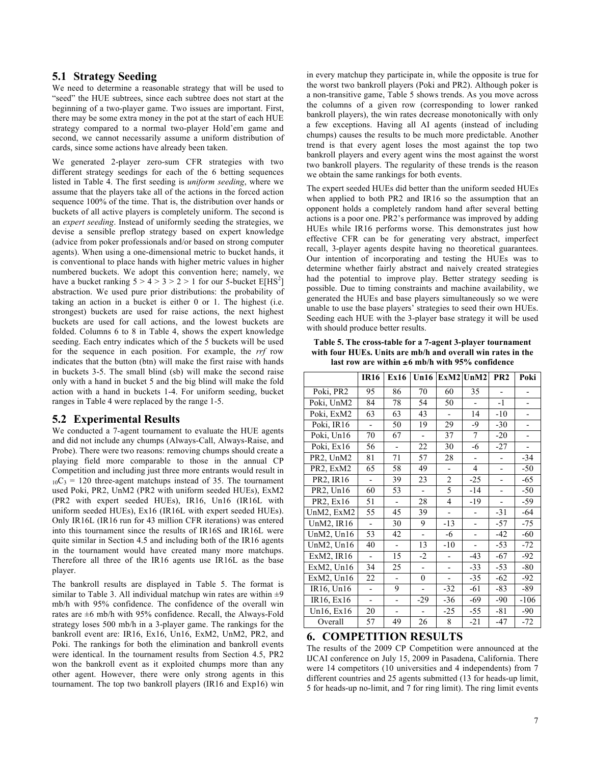## **5.1 Strategy Seeding**

We need to determine a reasonable strategy that will be used to "seed" the HUE subtrees, since each subtree does not start at the beginning of a two-player game. Two issues are important. First, there may be some extra money in the pot at the start of each HUE strategy compared to a normal two-player Hold'em game and second, we cannot necessarily assume a uniform distribution of cards, since some actions have already been taken.

We generated 2-player zero-sum CFR strategies with two different strategy seedings for each of the 6 betting sequences listed in Table 4. The first seeding is *uniform seeding*, where we assume that the players take all of the actions in the forced action sequence 100% of the time. That is, the distribution over hands or buckets of all active players is completely uniform. The second is an *expert seeding*. Instead of uniformly seeding the strategies, we devise a sensible preflop strategy based on expert knowledge (advice from poker professionals and/or based on strong computer agents). When using a one-dimensional metric to bucket hands, it is conventional to place hands with higher metric values in higher numbered buckets. We adopt this convention here; namely, we have a bucket ranking  $5 > 4 > 3 > 2 > 1$  for our 5-bucket E[HS<sup>2</sup>] abstraction. We used pure prior distributions: the probability of taking an action in a bucket is either 0 or 1. The highest (i.e. strongest) buckets are used for raise actions, the next highest buckets are used for call actions, and the lowest buckets are folded. Columns 6 to 8 in Table 4, shows the expert knowledge seeding. Each entry indicates which of the 5 buckets will be used for the sequence in each position. For example, the *rrf* row indicates that the button (btn) will make the first raise with hands in buckets 3-5. The small blind (sb) will make the second raise only with a hand in bucket 5 and the big blind will make the fold action with a hand in buckets 1-4. For uniform seeding, bucket ranges in Table 4 were replaced by the range 1-5.

## **5.2 Experimental Results**

We conducted a 7-agent tournament to evaluate the HUE agents and did not include any chumps (Always-Call, Always-Raise, and Probe). There were two reasons: removing chumps should create a playing field more comparable to those in the annual CP Competition and including just three more entrants would result in  $_{10}C_3$  = 120 three-agent matchups instead of 35. The tournament used Poki, PR2, UnM2 (PR2 with uniform seeded HUEs), ExM2 (PR2 with expert seeded HUEs), IR16, Un16 (IR16L with uniform seeded HUEs), Ex16 (IR16L with expert seeded HUEs). Only IR16L (IR16 run for 43 million CFR iterations) was entered into this tournament since the results of IR16S and IR16L were quite similar in Section 4.5 and including both of the IR16 agents in the tournament would have created many more matchups. Therefore all three of the IR16 agents use IR16L as the base player.

The bankroll results are displayed in Table 5. The format is similar to Table 3. All individual matchup win rates are within  $\pm 9$ mb/h with 95% confidence. The confidence of the overall win rates are ±6 mb/h with 95% confidence. Recall, the Always-Fold strategy loses 500 mb/h in a 3-player game. The rankings for the bankroll event are: IR16, Ex16, Un16, ExM2, UnM2, PR2, and Poki. The rankings for both the elimination and bankroll events were identical. In the tournament results from Section 4.5, PR2 won the bankroll event as it exploited chumps more than any other agent. However, there were only strong agents in this tournament. The top two bankroll players (IR16 and Exp16) win

in every matchup they participate in, while the opposite is true for the worst two bankroll players (Poki and PR2). Although poker is a non-transitive game, Table 5 shows trends. As you move across the columns of a given row (corresponding to lower ranked bankroll players), the win rates decrease monotonically with only a few exceptions. Having all AI agents (instead of including chumps) causes the results to be much more predictable. Another trend is that every agent loses the most against the top two bankroll players and every agent wins the most against the worst two bankroll players. The regularity of these trends is the reason we obtain the same rankings for both events.

The expert seeded HUEs did better than the uniform seeded HUEs when applied to both PR2 and IR16 so the assumption that an opponent holds a completely random hand after several betting actions is a poor one. PR2's performance was improved by adding HUEs while IR16 performs worse. This demonstrates just how effective CFR can be for generating very abstract, imperfect recall, 3-player agents despite having no theoretical guarantees. Our intention of incorporating and testing the HUEs was to determine whether fairly abstract and naively created strategies had the potential to improve play. Better strategy seeding is possible. Due to timing constraints and machine availability, we generated the HUEs and base players simultaneously so we were unable to use the base players' strategies to seed their own HUEs. Seeding each HUE with the 3-player base strategy it will be used with should produce better results.

**Table 5. The cross-table for a 7-agent 3-player tournament with four HUEs. Units are mb/h and overall win rates in the last row are within** ±**6 mb/h with 95% confidence**

|                | <b>IR16</b>              | Ex16                     | Un16                     |                          | $ExM2$ UnM2              | PR <sub>2</sub>          | Poki                     |
|----------------|--------------------------|--------------------------|--------------------------|--------------------------|--------------------------|--------------------------|--------------------------|
| Poki, PR2      | 95                       | 86                       | 70                       | 60                       | 35                       | $\overline{\phantom{0}}$ |                          |
| Poki, UnM2     | 84                       | 78                       | 54                       | 50                       | ÷,                       | $-1$                     |                          |
| Poki, ExM2     | 63                       | 63                       | 43                       | $\overline{a}$           | 14                       | $-10$                    |                          |
| Poki, IR16     |                          | 50                       | 19                       | 29                       | -9                       | $-30$                    |                          |
| Poki, Un16     | 70                       | 67                       |                          | 37                       | 7                        | $-20$                    |                          |
| Poki, Ex16     | 56                       | -                        | 22                       | 30                       | -6                       | $-27$                    | $\overline{\phantom{0}}$ |
| PR2, UnM2      | 81                       | 71                       | 57                       | 28                       |                          |                          | $-34$                    |
| PR2, ExM2      | 65                       | 58                       | 49                       | $\overline{\phantom{0}}$ | 4                        | $\overline{\phantom{0}}$ | -50                      |
| PR2, IR16      |                          | 39                       | 23                       | 2                        | $-25$                    |                          | -65                      |
| PR2, Un16      | 60                       | 53                       | $\overline{a}$           | 5                        | $-14$                    |                          | -50                      |
| PR2, Ex16      | 51                       |                          | 28                       | 4                        | -19                      |                          | -59                      |
| UnM2, ExM2     | 55                       | 45                       | 39                       |                          |                          | $-31$                    | -64                      |
| UnM2, IR16     | $\overline{\phantom{a}}$ | 30                       | 9                        | $-13$                    |                          | -57                      | -75                      |
| UnM $2$ , Un16 | 53                       | 42                       | $\overline{\phantom{0}}$ | -6                       | $\overline{\phantom{a}}$ | -42                      | -60                      |
| UnM $2$ , Un16 | 40                       | $\overline{\phantom{a}}$ | 13                       | $-10$                    | $\overline{\phantom{0}}$ | -53                      | $-72$                    |
| ExM2, IR16     |                          | 15                       | $-2$                     |                          | $-43$                    | -67                      | $-92$                    |
| ExM2, Un16     | 34                       | 25                       |                          |                          | $-33$                    | -53                      | $-80$                    |
| ExM2, Un16     | 22                       |                          | $\boldsymbol{0}$         |                          | $-35$                    | -62                      | $-92$                    |
| IR16, Un16     | $\overline{\phantom{0}}$ | 9                        |                          | -32                      | -61                      | -83                      | -89                      |
| IR16, Ex16     | $\overline{\phantom{0}}$ | $\overline{\phantom{a}}$ | $-29$                    | -36                      | -69                      | -90                      | $-106$                   |
| Un16, Ex16     | 20                       |                          |                          | $-25$                    | -55                      | -81                      | -90                      |
| Overall        | 57                       | 49                       | 26                       | 8                        | $-21$                    | -47                      | $-72$                    |

# **6. COMPETITION RESULTS**

The results of the 2009 CP Competition were announced at the IJCAI conference on July 15, 2009 in Pasadena, California. There were 14 competitors (10 universities and 4 independents) from 7 different countries and 25 agents submitted (13 for heads-up limit, 5 for heads-up no-limit, and 7 for ring limit). The ring limit events